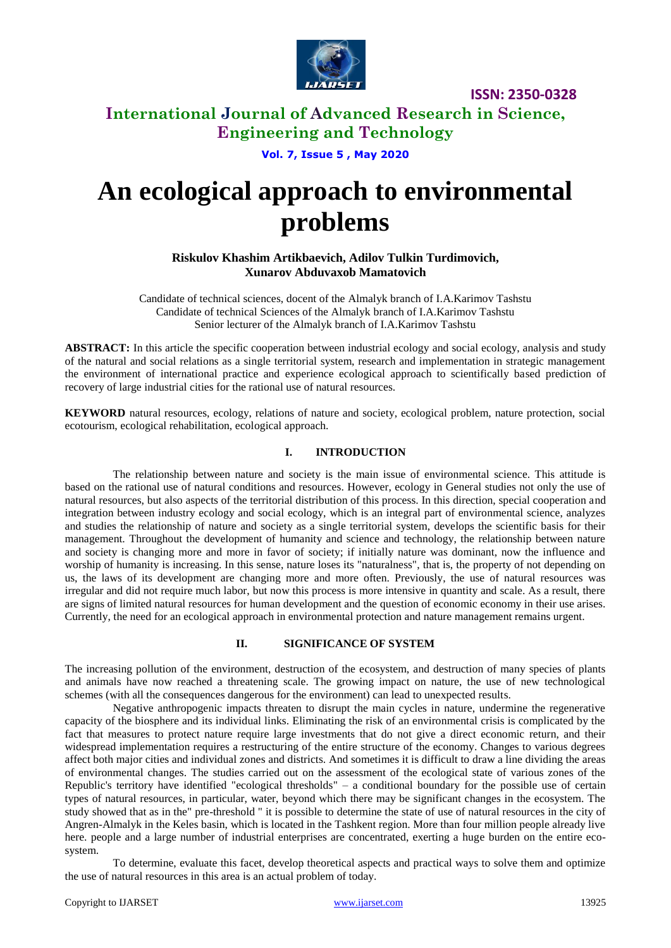

**ISSN: 2350-0328**

# **International Journal of Advanced Research in Science, Engineering and Technology**

**Vol. 7, Issue 5 , May 2020**

# **An ecological approach to environmental problems**

**Riskulov Khashim Artikbaevich, Adilov Tulkin Turdimovich, Xunarov Abduvaxob Mamatovich**

Candidate of technical sciences, docent of the Almalyk branch of I.A.Karimov Tashstu Candidate of technical Sciences of the Almalyk branch of I.A.Karimov Tashstu Senior lecturer of the Almalyk branch of I.A.Karimov Tashstu

**ABSTRACT:** In this article the specific cooperation between industrial ecology and social ecology, analysis and study of the natural and social relations as a single territorial system, research and implementation in strategic management the environment of international practice and experience ecological approach to scientifically based prediction of recovery of large industrial cities for the rational use of natural resources.

**KEYWORD** natural resources, ecology, relations of nature and society, ecological problem, nature protection, social ecotourism, ecological rehabilitation, ecological approach.

## **I. INTRODUCTION**

The relationship between nature and society is the main issue of environmental science. This attitude is based on the rational use of natural conditions and resources. However, ecology in General studies not only the use of natural resources, but also aspects of the territorial distribution of this process. In this direction, special cooperation and integration between industry ecology and social ecology, which is an integral part of environmental science, analyzes and studies the relationship of nature and society as a single territorial system, develops the scientific basis for their management. Throughout the development of humanity and science and technology, the relationship between nature and society is changing more and more in favor of society; if initially nature was dominant, now the influence and worship of humanity is increasing. In this sense, nature loses its "naturalness", that is, the property of not depending on us, the laws of its development are changing more and more often. Previously, the use of natural resources was irregular and did not require much labor, but now this process is more intensive in quantity and scale. As a result, there are signs of limited natural resources for human development and the question of economic economy in their use arises. Currently, the need for an ecological approach in environmental protection and nature management remains urgent.

## **II. SIGNIFICANCE OF SYSTEM**

The increasing pollution of the environment, destruction of the ecosystem, and destruction of many species of plants and animals have now reached a threatening scale. The growing impact on nature, the use of new technological schemes (with all the consequences dangerous for the environment) can lead to unexpected results.

Negative anthropogenic impacts threaten to disrupt the main cycles in nature, undermine the regenerative capacity of the biosphere and its individual links. Eliminating the risk of an environmental crisis is complicated by the fact that measures to protect nature require large investments that do not give a direct economic return, and their widespread implementation requires a restructuring of the entire structure of the economy. Changes to various degrees affect both major cities and individual zones and districts. And sometimes it is difficult to draw a line dividing the areas of environmental changes. The studies carried out on the assessment of the ecological state of various zones of the Republic's territory have identified "ecological thresholds" – a conditional boundary for the possible use of certain types of natural resources, in particular, water, beyond which there may be significant changes in the ecosystem. The study showed that as in the" pre-threshold " it is possible to determine the state of use of natural resources in the city of Angren-Almalyk in the Keles basin, which is located in the Tashkent region. More than four million people already live here. people and a large number of industrial enterprises are concentrated, exerting a huge burden on the entire ecosystem.

To determine, evaluate this facet, develop theoretical aspects and practical ways to solve them and optimize the use of natural resources in this area is an actual problem of today.